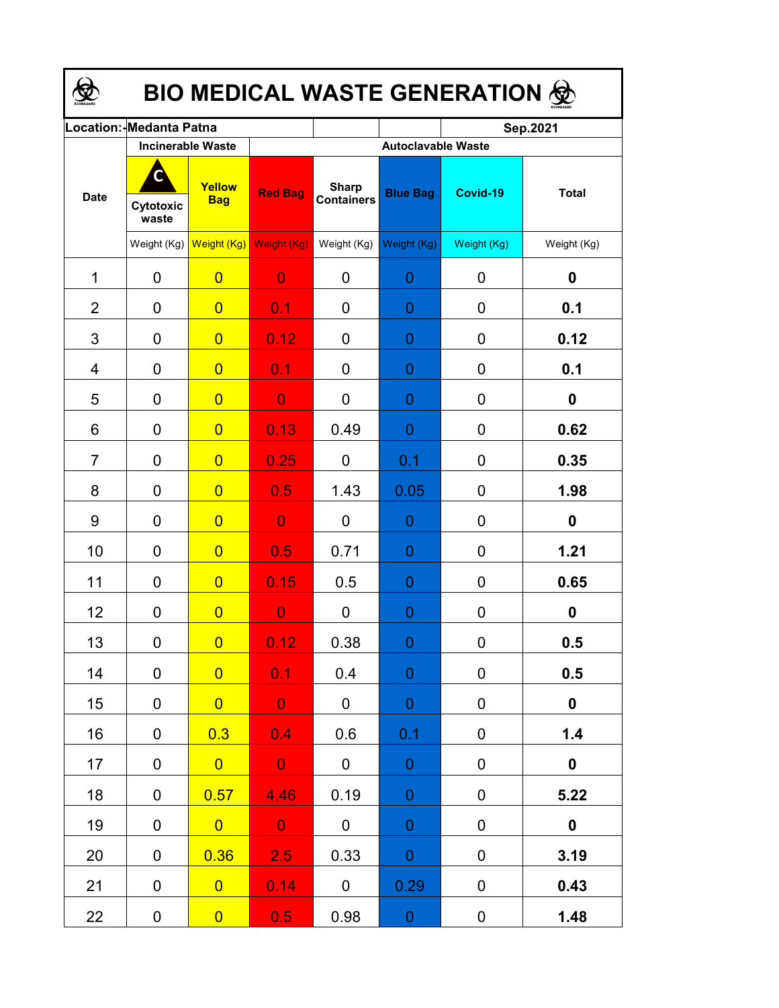| <b>BIO MEDICAL WASTE GENERATION ©</b> |                          |                      |                |                                   |                  |                  |                  |  |  |  |
|---------------------------------------|--------------------------|----------------------|----------------|-----------------------------------|------------------|------------------|------------------|--|--|--|
|                                       | Location: Medanta Patna  |                      |                |                                   |                  | Sep.2021         |                  |  |  |  |
|                                       | <b>Incinerable Waste</b> |                      |                | <b>Autoclavable Waste</b>         |                  |                  |                  |  |  |  |
| <b>Date</b>                           | Cytotoxic<br>waste       | Yellow<br><b>Bag</b> | <b>Red Bag</b> | <b>Sharp</b><br><b>Containers</b> | <b>Blue Bag</b>  | Covid-19         | <b>Total</b>     |  |  |  |
|                                       | Weight (Kg)              | Weight (Kg)          | Weight (Kg)    | Weight (Kg)                       | Weight (Kg)      | Weight (Kg)      | Weight (Kg)      |  |  |  |
| 1                                     | 0                        | $\overline{0}$       | $\overline{0}$ | 0                                 | 0                | 0                | 0                |  |  |  |
| $\overline{2}$                        | 0                        | $\overline{0}$       | 0.1            | 0                                 | 0                | 0                | 0.1              |  |  |  |
| 3                                     | 0                        | $\overline{0}$       | 0.12           | $\Omega$                          | 0                | 0                | 0.12             |  |  |  |
| 4                                     | 0                        | $\overline{0}$       | 0.1            | 0                                 | 0                | 0                | 0.1              |  |  |  |
| 5                                     | 0                        | $\overline{0}$       | $\overline{0}$ | $\mathbf{0}$                      | 0                | 0                | 0                |  |  |  |
| 6                                     | 0                        | $\overline{0}$       | 0.13           | 0.49                              | 0                | 0                | 0.62             |  |  |  |
| $\overline{7}$                        | 0                        | $\overline{0}$       | 0.25           | 0                                 | 0.1              | 0                | 0.35             |  |  |  |
| 8                                     | 0                        | $\overline{0}$       | 0.5            | 1.43                              | 0.05             | 0                | 1.98             |  |  |  |
| 9                                     | 0                        | $\overline{0}$       | $\overline{0}$ | 0                                 | 0                | 0                | 0                |  |  |  |
| 10                                    | 0                        | $\overline{0}$       | 0.5            | 0.71                              | 0                | 0                | 1.21             |  |  |  |
| 11                                    | 0                        | $\overline{0}$       | 0.15           | 0.5                               | 0                | 0                | 0.65             |  |  |  |
| 12                                    | 0                        | $\overline{0}$       | $\overline{0}$ | 0                                 | 0                | 0                | 0                |  |  |  |
| 13                                    | 0                        | $\overline{0}$       | 0.12           | 0.38                              | 0                | 0                | 0.5              |  |  |  |
| 14                                    | $\mathbf 0$              | $\overline{0}$       | 0.1            | 0.4                               | $\mathbf{0}$     | $\pmb{0}$        | 0.5              |  |  |  |
| 15                                    | 0                        | $\overline{0}$       | $\overline{0}$ | $\mathbf 0$                       | $\mathbf{0}$     | $\pmb{0}$        | $\mathbf 0$      |  |  |  |
| 16                                    | 0                        | 0.3                  | 0.4            | 0.6                               | 0.1              | 0                | 1.4              |  |  |  |
| 17                                    | 0                        | $\overline{0}$       | $\overline{0}$ | $\pmb{0}$                         | $\boldsymbol{0}$ | $\boldsymbol{0}$ | $\boldsymbol{0}$ |  |  |  |
| 18                                    | 0                        | 0.57                 | 4.46           | 0.19                              | $\mathbf 0$      | 0                | 5.22             |  |  |  |
| 19                                    | 0                        | $\overline{0}$       | $\overline{0}$ | $\mathbf 0$                       | $\mathbf 0$      | $\boldsymbol{0}$ | $\mathbf 0$      |  |  |  |
| 20                                    | 0                        | 0.36                 | 2.5            | 0.33                              | $\mathbf 0$      | 0                | 3.19             |  |  |  |
| 21                                    | 0                        | $\overline{0}$       | 0.14           | $\mathbf 0$                       | 0.29             | 0                | 0.43             |  |  |  |
| 22                                    | 0                        | $\overline{0}$       | 0.5            | 0.98                              | $\boldsymbol{0}$ | $\pmb{0}$        | 1.48             |  |  |  |